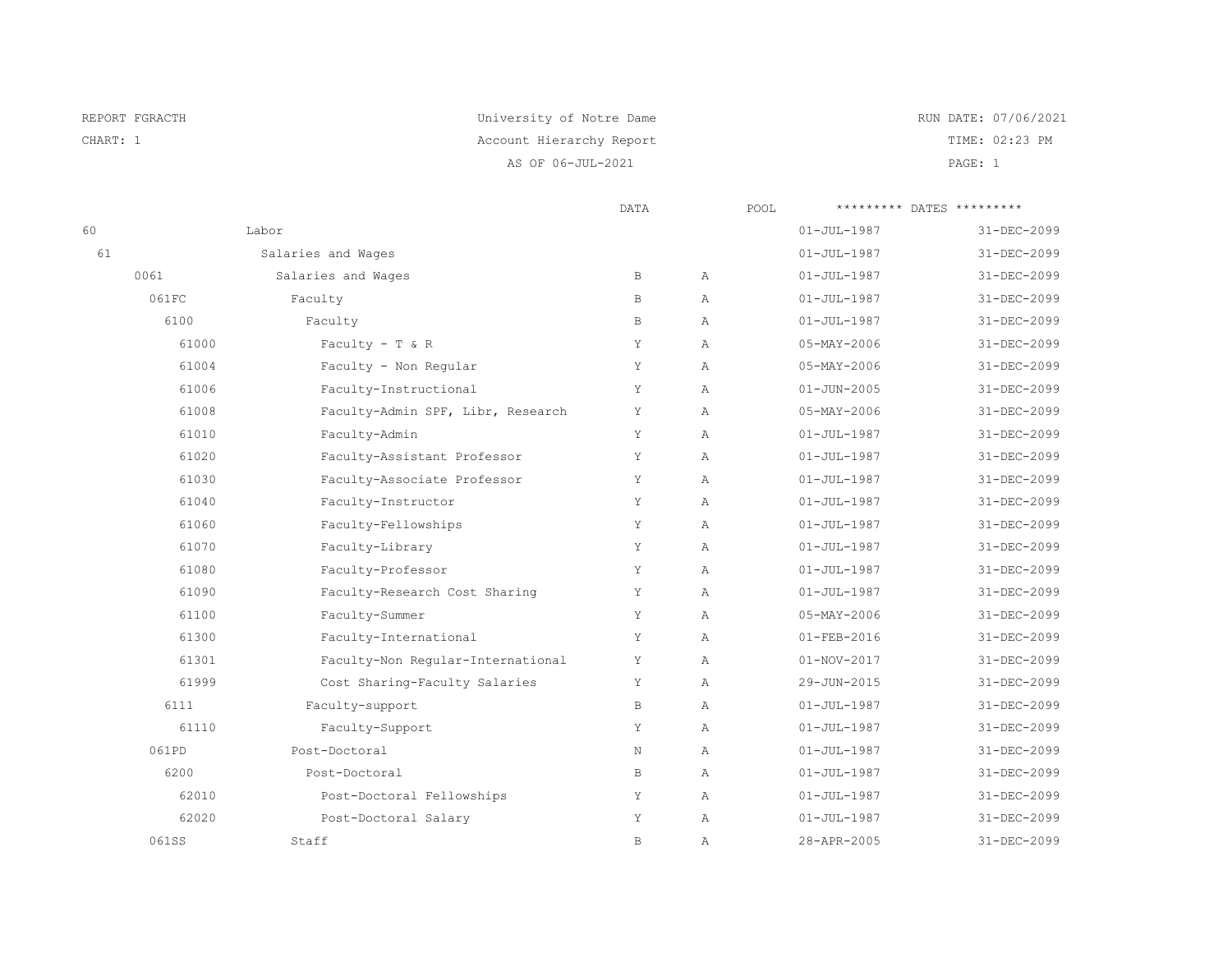| REPORT FGRACTH | University of Notre Dame | RUN DATE: 07/06/2021 |
|----------------|--------------------------|----------------------|
| CHART: 1       | Account Hierarchy Report | TIME: 02:23 PM       |
|                | AS OF 06-JUL-2021        | PAGE: 1              |

|    |       | DATA                              |              | ********* DATES *********<br>POOL |                   |             |
|----|-------|-----------------------------------|--------------|-----------------------------------|-------------------|-------------|
| 60 |       | Labor                             |              |                                   | $01 - JUL - 1987$ | 31-DEC-2099 |
| 61 |       | Salaries and Wages                |              |                                   | $01 - JUL - 1987$ | 31-DEC-2099 |
|    | 0061  | Salaries and Wages                | $\, {\bf B}$ | $\mathbb{A}$                      | $01 - JUL - 1987$ | 31-DEC-2099 |
|    | 061FC | Faculty                           | $\, {\bf B}$ | Α                                 | $01 - JUL - 1987$ | 31-DEC-2099 |
|    | 6100  | Faculty                           | $\, {\bf B}$ | $\overline{A}$                    | $01 - JUL - 1987$ | 31-DEC-2099 |
|    | 61000 | Faculty - T & R                   | Y            | Α                                 | $05 - MAX - 2006$ | 31-DEC-2099 |
|    | 61004 | Faculty - Non Regular             | Y            | Α                                 | $05 - MAX - 2006$ | 31-DEC-2099 |
|    | 61006 | Faculty-Instructional             | Y            | Α                                 | $01 - JUN - 2005$ | 31-DEC-2099 |
|    | 61008 | Faculty-Admin SPF, Libr, Research | Υ            | Α                                 | $05 - MAX - 2006$ | 31-DEC-2099 |
|    | 61010 | Faculty-Admin                     | Υ            | $\overline{A}$                    | $01 - JUL - 1987$ | 31-DEC-2099 |
|    | 61020 | Faculty-Assistant Professor       | Υ            | Α                                 | $01 - JUL - 1987$ | 31-DEC-2099 |
|    | 61030 | Faculty-Associate Professor       | Υ            | $\mathbb{A}$                      | $01 - JUL - 1987$ | 31-DEC-2099 |
|    | 61040 | Faculty-Instructor                | Y            | $\overline{A}$                    | $01 - JUL - 1987$ | 31-DEC-2099 |
|    | 61060 | Faculty-Fellowships               | Y            | $\mathbb{A}$                      | $01 - JUL - 1987$ | 31-DEC-2099 |
|    | 61070 | Faculty-Library                   | Y            | Α                                 | $01 - JUL - 1987$ | 31-DEC-2099 |
|    | 61080 | Faculty-Professor                 | Y            | $\mathbb{A}$                      | $01 - JUL - 1987$ | 31-DEC-2099 |
|    | 61090 | Faculty-Research Cost Sharing     | Υ            | $\mathbb{A}$                      | $01 - JUL - 1987$ | 31-DEC-2099 |
|    | 61100 | Faculty-Summer                    | Y            | Α                                 | $05 - MAX - 2006$ | 31-DEC-2099 |
|    | 61300 | Faculty-International             | Υ            | $\mathbb{A}$                      | $01 - FEB - 2016$ | 31-DEC-2099 |
|    | 61301 | Faculty-Non Regular-International | Y            | Α                                 | $01 - NOV - 2017$ | 31-DEC-2099 |
|    | 61999 | Cost Sharing-Faculty Salaries     | Y            | $\mathcal{A}$                     | 29-JUN-2015       | 31-DEC-2099 |
|    | 6111  | Faculty-support                   | B            | Α                                 | $01 - JUL - 1987$ | 31-DEC-2099 |
|    | 61110 | Faculty-Support                   | Y            | $\mathbb{A}$                      | $01 - JUL - 1987$ | 31-DEC-2099 |
|    | 061PD | Post-Doctoral                     | N            | $\lambda$                         | $01 - JUL - 1987$ | 31-DEC-2099 |
|    | 6200  | Post-Doctoral                     | $\, {\bf B}$ | $\mathbb{A}$                      | $01 - JUL - 1987$ | 31-DEC-2099 |
|    | 62010 | Post-Doctoral Fellowships         | Y            | Α                                 | $01 - JUL - 1987$ | 31-DEC-2099 |
|    | 62020 | Post-Doctoral Salary              | Υ            | Α                                 | $01 - JUL - 1987$ | 31-DEC-2099 |
|    | 061SS | Staff                             | $\, {\bf B}$ | $\mathbb{A}$                      | 28-APR-2005       | 31-DEC-2099 |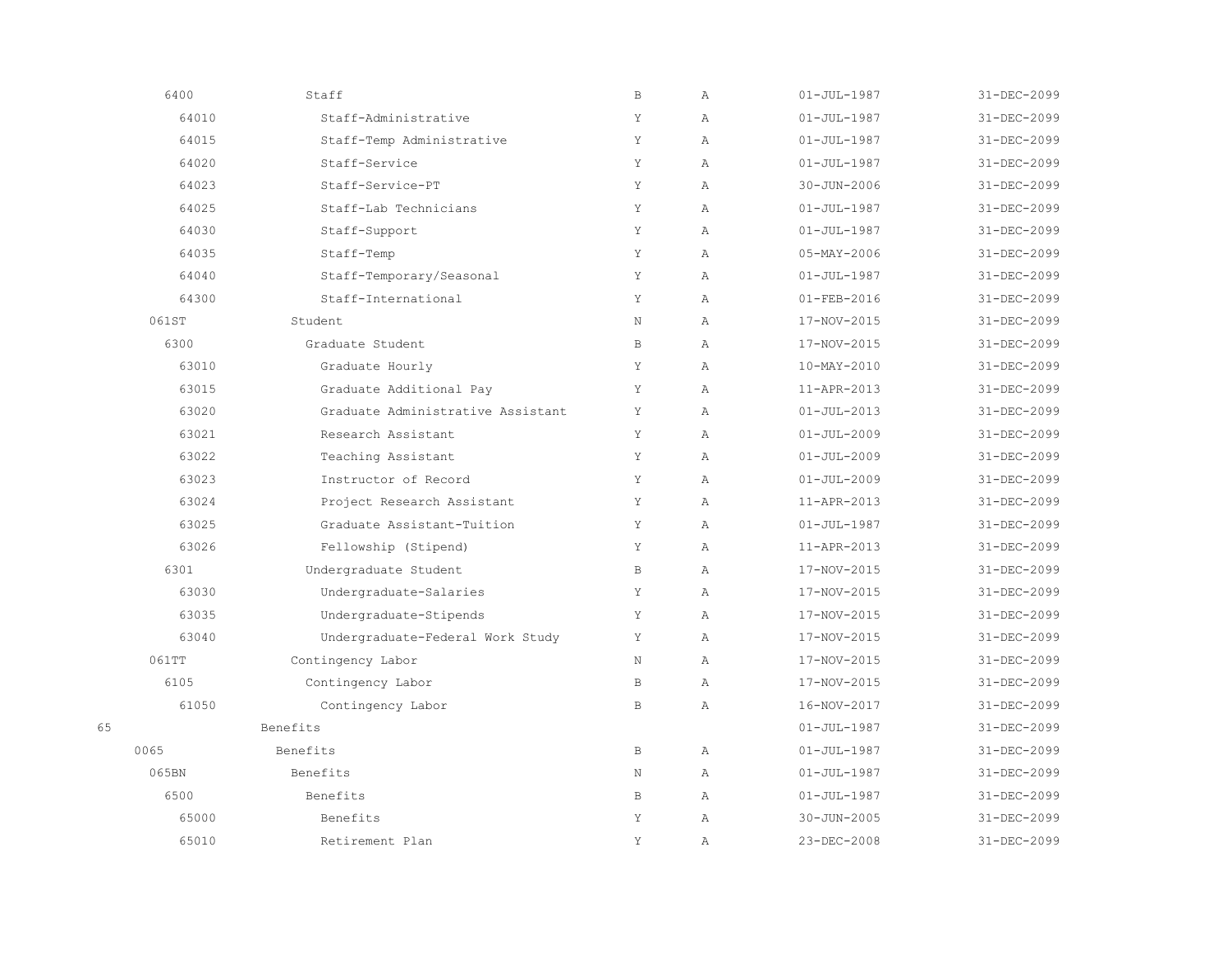|    | 6400  | Staff                             | $\, {\bf B}$ | Α             | $01 - JUL - 1987$ | 31-DEC-2099 |
|----|-------|-----------------------------------|--------------|---------------|-------------------|-------------|
|    | 64010 | Staff-Administrative              | Y            | Α             | $01 - JUL - 1987$ | 31-DEC-2099 |
|    | 64015 | Staff-Temp Administrative         | Υ            | $\mathbb{A}$  | $01 - JUL - 1987$ | 31-DEC-2099 |
|    | 64020 | Staff-Service                     | Y            | $\mathbb{A}$  | $01 - JUL - 1987$ | 31-DEC-2099 |
|    | 64023 | Staff-Service-PT                  | Υ            | Α             | $30 - JUN - 2006$ | 31-DEC-2099 |
|    | 64025 | Staff-Lab Technicians             | Y            | $\mathbb{A}$  | $01 - JUL - 1987$ | 31-DEC-2099 |
|    | 64030 | Staff-Support                     | Y            | $\mathcal{A}$ | $01 - JUL - 1987$ | 31-DEC-2099 |
|    | 64035 | Staff-Temp                        | Y            | $\mathbb{A}$  | $05 - MAX - 2006$ | 31-DEC-2099 |
|    | 64040 | Staff-Temporary/Seasonal          | Y            | Α             | $01 - JUL - 1987$ | 31-DEC-2099 |
|    | 64300 | Staff-International               | Y            | $\mathbb{A}$  | $01 - FEB - 2016$ | 31-DEC-2099 |
|    | 061ST | Student                           | N            | $\mathbb{A}$  | 17-NOV-2015       | 31-DEC-2099 |
|    | 6300  | Graduate Student                  | $\mathbb B$  | $\lambda$     | 17-NOV-2015       | 31-DEC-2099 |
|    | 63010 | Graduate Hourly                   | Y            | $\mathbb{A}$  | 10-MAY-2010       | 31-DEC-2099 |
|    | 63015 | Graduate Additional Pay           | Y            | $\mathbb{A}$  | 11-APR-2013       | 31-DEC-2099 |
|    | 63020 | Graduate Administrative Assistant | Y            | $\mathbb{A}$  | $01 - JUL - 2013$ | 31-DEC-2099 |
|    | 63021 | Research Assistant                | Y            | $\mathbb{A}$  | $01 - JUL - 2009$ | 31-DEC-2099 |
|    | 63022 | Teaching Assistant                | Y            | $\lambda$     | $01 - JUL - 2009$ | 31-DEC-2099 |
|    | 63023 | Instructor of Record              | Y            | Α             | $01 - JUL - 2009$ | 31-DEC-2099 |
|    | 63024 | Project Research Assistant        | Y            | $\mathbb{A}$  | 11-APR-2013       | 31-DEC-2099 |
|    | 63025 | Graduate Assistant-Tuition        | Y            | $\mathbb{A}$  | $01 - JUL - 1987$ | 31-DEC-2099 |
|    | 63026 | Fellowship (Stipend)              | Υ            | $\mathbb{A}$  | 11-APR-2013       | 31-DEC-2099 |
|    | 6301  | Undergraduate Student             | B            | $\mathbb{A}$  | 17-NOV-2015       | 31-DEC-2099 |
|    | 63030 | Undergraduate-Salaries            | Y            | $\mathbb{A}$  | 17-NOV-2015       | 31-DEC-2099 |
|    | 63035 | Undergraduate-Stipends            | Y            | $\mathbb{A}$  | 17-NOV-2015       | 31-DEC-2099 |
|    | 63040 | Undergraduate-Federal Work Study  | Y            | Α             | 17-NOV-2015       | 31-DEC-2099 |
|    | 061TT | Contingency Labor                 | N            | $\mathbb{A}$  | 17-NOV-2015       | 31-DEC-2099 |
|    | 6105  | Contingency Labor                 | $\mathbf{B}$ | $\mathbb{A}$  | 17-NOV-2015       | 31-DEC-2099 |
|    | 61050 | Contingency Labor                 | $\mathbf{B}$ | $\mathbb{A}$  | 16-NOV-2017       | 31-DEC-2099 |
| 65 |       | <b>Benefits</b>                   |              |               | $01 - JUL - 1987$ | 31-DEC-2099 |
|    | 0065  | Benefits                          | B            | $\mathbb{A}$  | $01 - JUL - 1987$ | 31-DEC-2099 |
|    | 065BN | Benefits                          | N            | $\mathbb{A}$  | $01 - JUL - 1987$ | 31-DEC-2099 |
|    | 6500  | Benefits                          | $\mathbf{B}$ | $\mathbb{A}$  | $01 - JUL - 1987$ | 31-DEC-2099 |
|    | 65000 | Benefits                          | Υ            | Α             | $30 - JUN - 2005$ | 31-DEC-2099 |
|    | 65010 | Retirement Plan                   | Y            | Α             | 23-DEC-2008       | 31-DEC-2099 |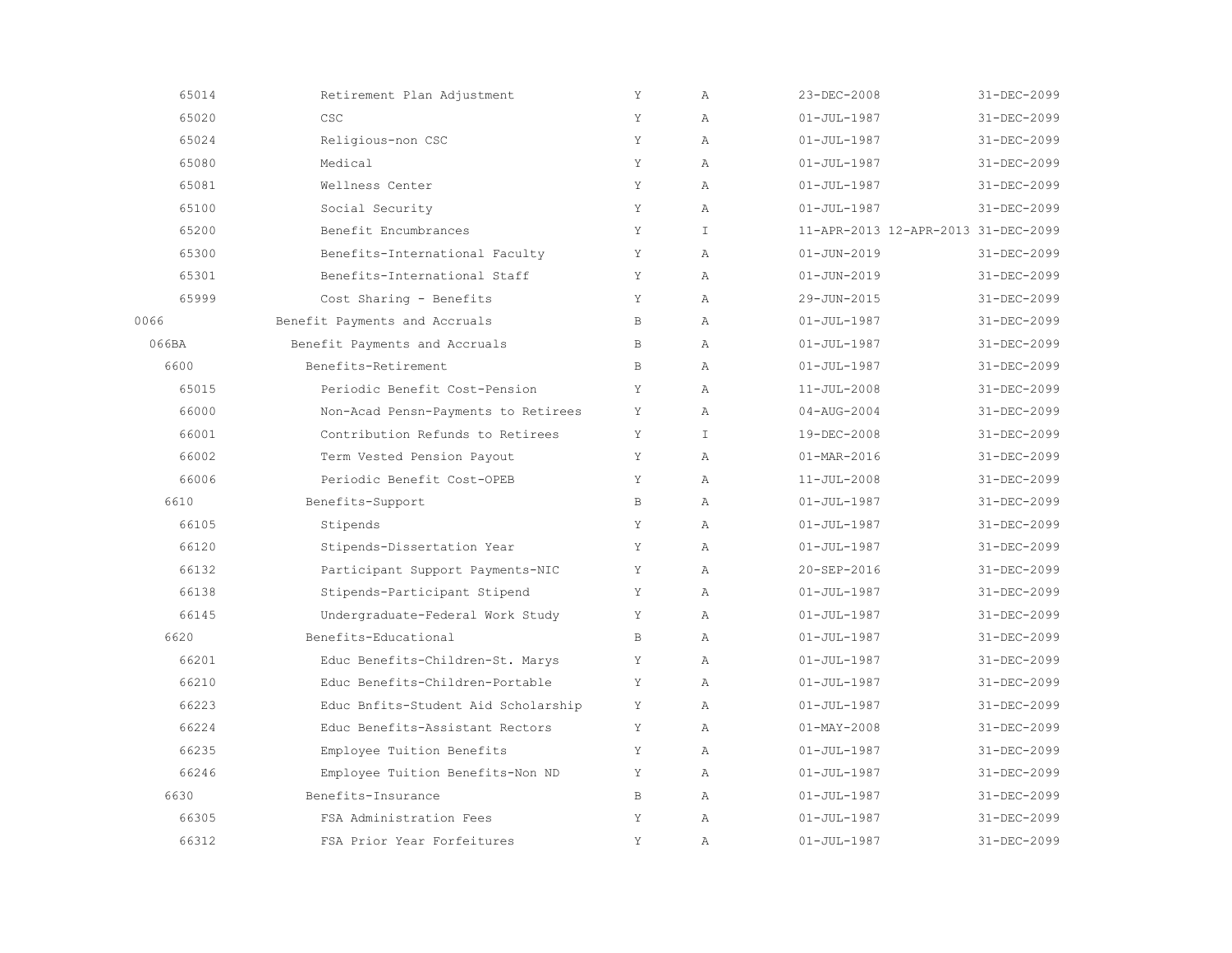| 65014 | Retirement Plan Adjustment          | Y            | $\mathbb{A}$  | 23-DEC-2008                         | 31-DEC-2099       |
|-------|-------------------------------------|--------------|---------------|-------------------------------------|-------------------|
| 65020 | CSC                                 | Y            | $\lambda$     | $01 - JUL - 1987$                   | 31-DEC-2099       |
| 65024 | Religious-non CSC                   | Y            | $\lambda$     | $01 - JUL - 1987$                   | 31-DEC-2099       |
| 65080 | Medical                             | Y            | $\mathbb{A}$  | $01 - JUL - 1987$                   | 31-DEC-2099       |
| 65081 | Wellness Center                     | Y            | $\mathbb{A}$  | $01 - JUL - 1987$                   | 31-DEC-2099       |
| 65100 | Social Security                     | Y            | $\mathbb{A}$  | $01 - JUL - 1987$                   | 31-DEC-2099       |
| 65200 | Benefit Encumbrances                | Y            | $\mathbbm{I}$ | 11-APR-2013 12-APR-2013 31-DEC-2099 |                   |
| 65300 | Benefits-International Faculty      | Υ            | Α             | $01 - JUN - 2019$                   | 31-DEC-2099       |
| 65301 | Benefits-International Staff        | Y            | $\mathbb{A}$  | $01 - JUN - 2019$                   | 31-DEC-2099       |
| 65999 | Cost Sharing - Benefits             | Y            | $\lambda$     | 29-JUN-2015                         | 31-DEC-2099       |
| 0066  | Benefit Payments and Accruals       | $\, {\bf B}$ | $\mathbb{A}$  | $01 - JUL - 1987$                   | 31-DEC-2099       |
| 066BA | Benefit Payments and Accruals       | B            | $\mathbb{A}$  | $01 - JUL - 1987$                   | 31-DEC-2099       |
| 6600  | Benefits-Retirement                 | B            | $\lambda$     | $01 - JUL - 1987$                   | 31-DEC-2099       |
| 65015 | Periodic Benefit Cost-Pension       | Y            | $\lambda$     | $11 - JUL - 2008$                   | 31-DEC-2099       |
| 66000 | Non-Acad Pensn-Payments to Retirees | Y            | $\mathbb{A}$  | $04 - AUG - 2004$                   | 31-DEC-2099       |
| 66001 | Contribution Refunds to Retirees    | Υ            | $\mathbf{I}$  | 19-DEC-2008                         | 31-DEC-2099       |
| 66002 | Term Vested Pension Payout          | Υ            | Α             | $01 - MAR - 2016$                   | 31-DEC-2099       |
| 66006 | Periodic Benefit Cost-OPEB          | Y            | $\lambda$     | $11 - JUL - 2008$                   | 31-DEC-2099       |
| 6610  | Benefits-Support                    | $\mathbb B$  | $\mathbb{A}$  | $01 - JUL - 1987$                   | 31-DEC-2099       |
| 66105 | Stipends                            | Y            | $\mathbb{A}$  | $01 - JUL - 1987$                   | 31-DEC-2099       |
| 66120 | Stipends-Dissertation Year          | Y            | $\lambda$     | $01 - JUL - 1987$                   | $31 - DEC - 2099$ |
| 66132 | Participant Support Payments-NIC    | Υ            | $\mathbb{A}$  | 20-SEP-2016                         | 31-DEC-2099       |
| 66138 | Stipends-Participant Stipend        | Y            | $\mathbb{A}$  | $01 - JUL - 1987$                   | 31-DEC-2099       |
| 66145 | Undergraduate-Federal Work Study    | Y            | Α             | $01 - JUL - 1987$                   | 31-DEC-2099       |
| 6620  | Benefits-Educational                | B            | $\mathbb{A}$  | $01 - JUL - 1987$                   | 31-DEC-2099       |
| 66201 | Educ Benefits-Children-St. Marys    | Υ            | $\lambda$     | $01 - JUL - 1987$                   | 31-DEC-2099       |
| 66210 | Educ Benefits-Children-Portable     | Y            | $\mathbb{A}$  | $01 - JUL - 1987$                   | $31 - DEC - 2099$ |
| 66223 | Educ Bnfits-Student Aid Scholarship | Y            | $\mathbb{A}$  | $01 - JUL - 1987$                   | 31-DEC-2099       |
| 66224 | Educ Benefits-Assistant Rectors     | Y            | $\mathbb{A}$  | $01 - MAX - 2008$                   | 31-DEC-2099       |
| 66235 | Employee Tuition Benefits           | Υ            | $\mathbb{A}$  | $01 - JUL - 1987$                   | 31-DEC-2099       |
| 66246 | Employee Tuition Benefits-Non ND    | Υ            | $\mathbb{A}$  | $01 - JUL - 1987$                   | 31-DEC-2099       |
| 6630  | Benefits-Insurance                  | B            | $\mathbb{A}$  | $01 - JUL - 1987$                   | 31-DEC-2099       |
| 66305 | FSA Administration Fees             | Y            | $\mathbb{A}$  | $01 - JUL - 1987$                   | 31-DEC-2099       |
| 66312 | FSA Prior Year Forfeitures          | Y            | $\mathbb{A}$  | $01 - JUL - 1987$                   | 31-DEC-2099       |
|       |                                     |              |               |                                     |                   |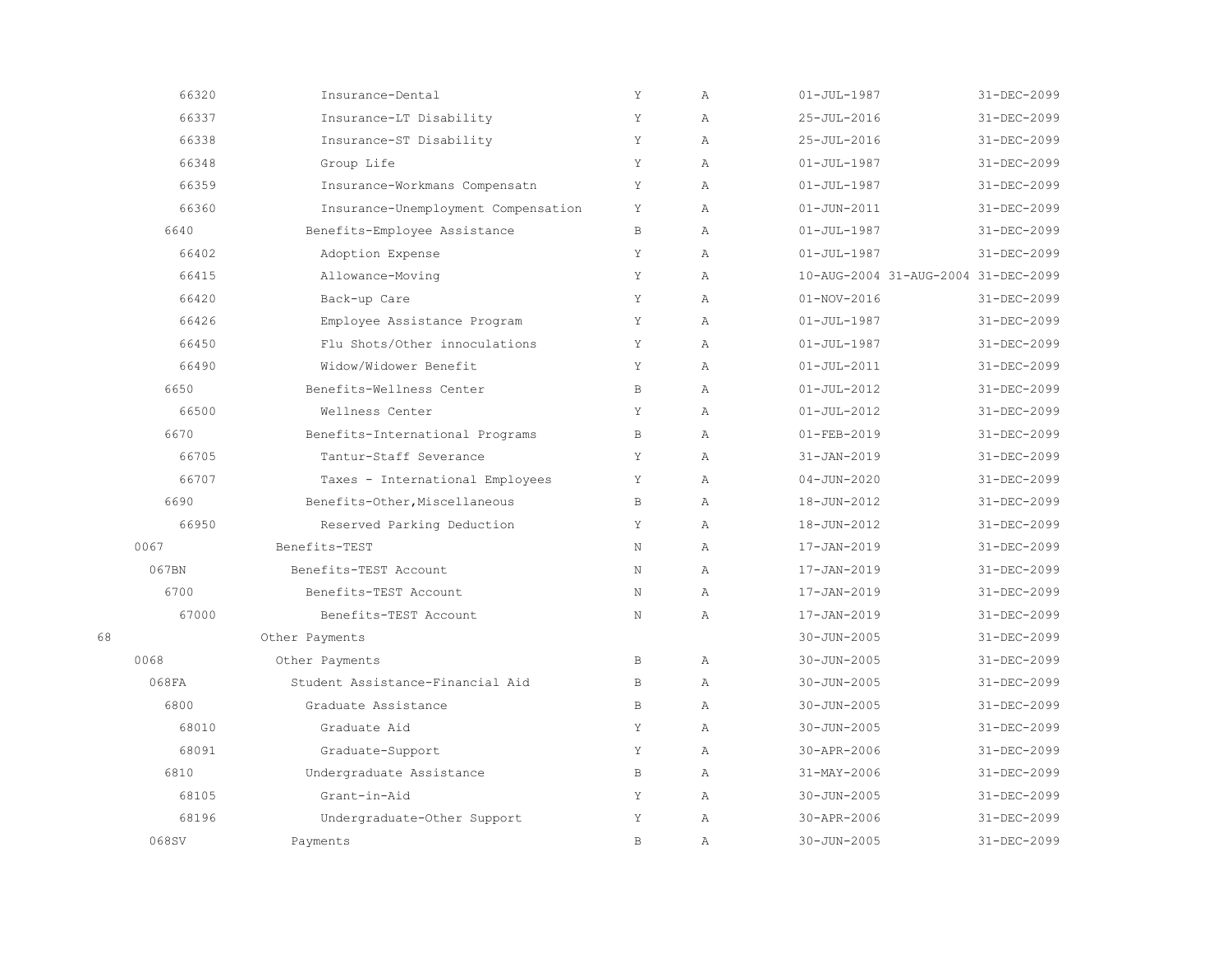|    | 66320 | Insurance-Dental                    | Y            | Α            | $01 - JUL - 1987$                   | 31-DEC-2099       |
|----|-------|-------------------------------------|--------------|--------------|-------------------------------------|-------------------|
|    | 66337 | Insurance-LT Disability             | Υ            | Α            | 25-JUL-2016                         | 31-DEC-2099       |
|    | 66338 | Insurance-ST Disability             | Y            | $\mathbb{A}$ | 25-JUL-2016                         | 31-DEC-2099       |
|    | 66348 | Group Life                          | Y            | $\mathbb{A}$ | $01 - JUL - 1987$                   | 31-DEC-2099       |
|    | 66359 | Insurance-Workmans Compensatn       | Υ            | $\lambda$    | $01 - JUL - 1987$                   | 31-DEC-2099       |
|    | 66360 | Insurance-Unemployment Compensation | Y            | $\lambda$    | $01 - JUN - 2011$                   | 31-DEC-2099       |
|    | 6640  | Benefits-Employee Assistance        | B            | $\mathbb{A}$ | $01 - JUL - 1987$                   | 31-DEC-2099       |
|    | 66402 | Adoption Expense                    | Y            | A            | $01 - JUL - 1987$                   | 31-DEC-2099       |
|    | 66415 | Allowance-Moving                    | Y            | $\lambda$    | 10-AUG-2004 31-AUG-2004 31-DEC-2099 |                   |
|    | 66420 | Back-up Care                        | Y            | $\mathbb{A}$ | $01 - NOV - 2016$                   | $31 - DEC - 2099$ |
|    | 66426 | Employee Assistance Program         | Y            | $\lambda$    | $01 - JUL - 1987$                   | 31-DEC-2099       |
|    | 66450 | Flu Shots/Other innoculations       | Y            | $\lambda$    | $01 - JUL - 1987$                   | 31-DEC-2099       |
|    | 66490 | Widow/Widower Benefit               | Υ            | $\lambda$    | $01 - JUL - 2011$                   | 31-DEC-2099       |
|    | 6650  | Benefits-Wellness Center            | B            | $\mathbb{A}$ | $01 - JUL - 2012$                   | 31-DEC-2099       |
|    | 66500 | Wellness Center                     | Y            | $\mathbb{A}$ | $01 - JUL - 2012$                   | 31-DEC-2099       |
|    | 6670  | Benefits-International Programs     | B            | $\lambda$    | $01 - FEB - 2019$                   | 31-DEC-2099       |
|    | 66705 | Tantur-Staff Severance              | Y            | A            | $31 - JAN - 2019$                   | 31-DEC-2099       |
|    | 66707 | Taxes - International Employees     | Υ            | Α            | $04 - JUN - 2020$                   | 31-DEC-2099       |
|    | 6690  | Benefits-Other, Miscellaneous       | $\, {\bf B}$ | $\mathbb{A}$ | 18-JUN-2012                         | 31-DEC-2099       |
|    | 66950 | Reserved Parking Deduction          | Y            | $\lambda$    | 18-JUN-2012                         | 31-DEC-2099       |
|    | 0067  | Benefits-TEST                       | N            | $\mathbb{A}$ | 17-JAN-2019                         | 31-DEC-2099       |
|    | 067BN | Benefits-TEST Account               | N            | $\mathbb{A}$ | 17-JAN-2019                         | 31-DEC-2099       |
|    | 6700  | Benefits-TEST Account               | N            | $\mathbb{A}$ | 17-JAN-2019                         | 31-DEC-2099       |
|    | 67000 | Benefits-TEST Account               | N            | $\lambda$    | $17 - JAN - 2019$                   | 31-DEC-2099       |
| 68 |       | Other Payments                      |              |              | 30-JUN-2005                         | 31-DEC-2099       |
|    | 0068  | Other Payments                      | B            | $\mathbb{A}$ | $30 - JUN - 2005$                   | 31-DEC-2099       |
|    | 068FA | Student Assistance-Financial Aid    | $\mathbb B$  | $\mathbb{A}$ | $30 - JUN - 2005$                   | 31-DEC-2099       |
|    | 6800  | Graduate Assistance                 | $\mathbb B$  | $\lambda$    | $30 - JUN - 2005$                   | 31-DEC-2099       |
|    | 68010 | Graduate Aid                        | Y            | $\lambda$    | $30 - JUN - 2005$                   | 31-DEC-2099       |
|    | 68091 | Graduate-Support                    | Y            | $\mathbb{A}$ | 30-APR-2006                         | $31 - DEC - 2099$ |
|    | 6810  | Undergraduate Assistance            | B            | $\mathbb{A}$ | 31-MAY-2006                         | 31-DEC-2099       |
|    | 68105 | Grant-in-Aid                        | Y            | $\mathbb{A}$ | $30 - JUN - 2005$                   | 31-DEC-2099       |
|    | 68196 | Undergraduate-Other Support         | Υ            | Α            | 30-APR-2006                         | 31-DEC-2099       |
|    | 068SV | Payments                            | $\mathbb B$  | $\mathbb{A}$ | $30 - JUN - 2005$                   | 31-DEC-2099       |